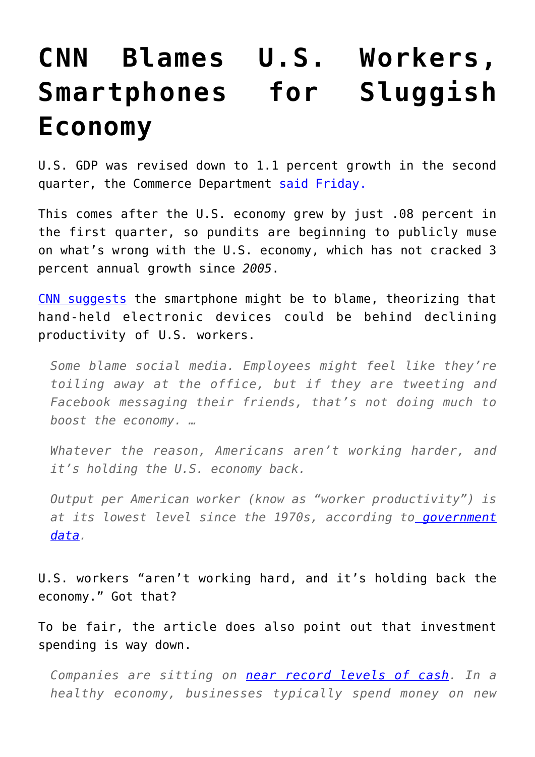## **[CNN Blames U.S. Workers,](https://intellectualtakeout.org/2016/08/cnn-blames-u-s-workers-smartphones-for-sluggish-economy/) [Smartphones for Sluggish](https://intellectualtakeout.org/2016/08/cnn-blames-u-s-workers-smartphones-for-sluggish-economy/) [Economy](https://intellectualtakeout.org/2016/08/cnn-blames-u-s-workers-smartphones-for-sluggish-economy/)**

U.S. GDP was revised down to 1.1 percent growth in the second quarter, the Commerce Department [said Friday.](http://finance.yahoo.com/news/u-second-quarter-growth-trimmed-1-1-percent-123519369--business.html)

This comes after the U.S. economy grew by just .08 percent in the first quarter, so pundits are beginning to publicly muse on what's wrong with the U.S. economy, which has not cracked 3 percent annual growth since *2005*.

[CNN suggests](http://money.cnn.com/2016/08/23/news/economy/us-economy-low-productivity/index.html) the smartphone might be to blame, theorizing that hand-held electronic devices could be behind declining productivity of U.S. workers.

*Some blame social media. Employees might feel like they're toiling away at the office, but if they are tweeting and Facebook messaging their friends, that's not doing much to boost the economy. …*

*Whatever the reason, Americans aren't working harder, and it's holding the U.S. economy back.*

*Output per American worker (know as "worker productivity") is at its lowest level since the 1970s, according to [government](http://www.bls.gov/lpc/prodybar.htm) [data.](http://www.bls.gov/lpc/prodybar.htm)*

U.S. workers "aren't working hard, and it's holding back the economy." Got that?

To be fair, the article does also point out that investment spending is way down.

*Companies are sitting on [near record levels of cash](http://money.cnn.com/2015/09/25/investing/us-companies-cash-hoard/?iid=EL). In a healthy economy, businesses typically spend money on new*